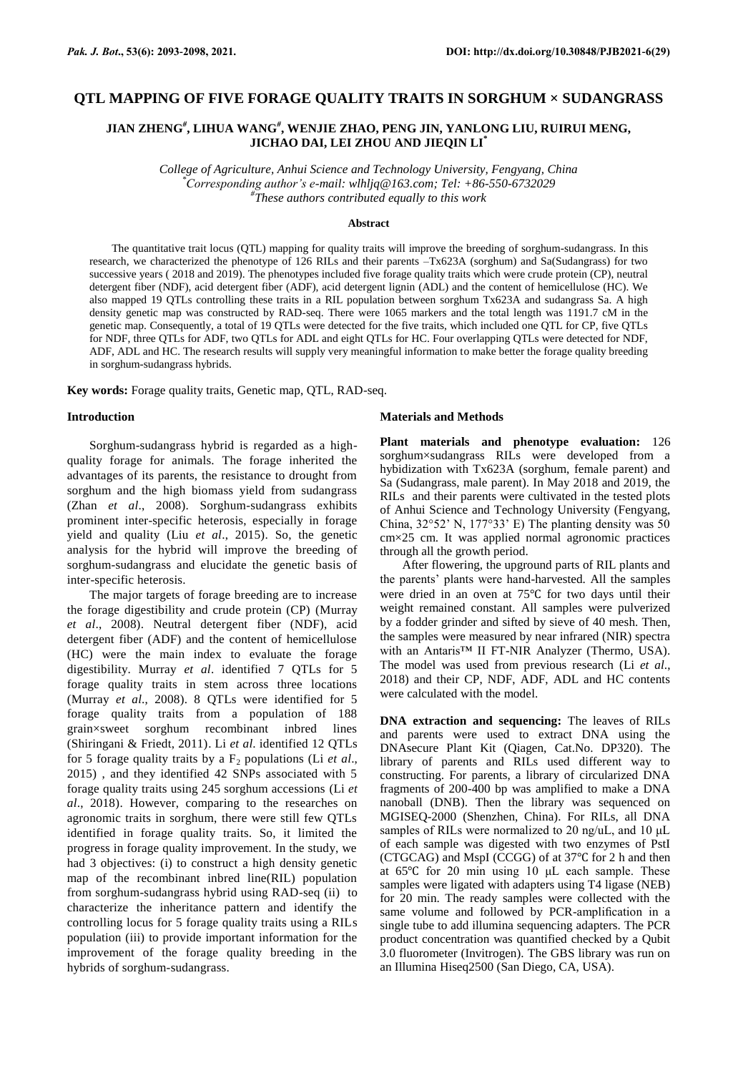# **QTL MAPPING OF FIVE FORAGE QUALITY TRAITS IN SORGHUM × SUDANGRASS**

## **JIAN ZHENG***#* **, LIHUA WANG***#* **, WENJIE ZHAO, PENG JIN, YANLONG LIU, RUIRUI MENG, JICHAO DAI, LEI ZHOU AND JIEQIN LI\***

*College of Agriculture, Anhui Science and Technology University, Fengyang, China \*Corresponding author's e-mail: [wlhljq@163.com;](mailto:wlhljq@163.com) Tel: +86-550-6732029 # These authors contributed equally to this work*

#### **Abstract**

The quantitative trait locus (QTL) mapping for quality traits will improve the breeding of sorghum-sudangrass. In this research, we characterized the phenotype of 126 RILs and their parents –Tx623A (sorghum) and Sa(Sudangrass) for two successive years ( 2018 and 2019). The phenotypes included five forage quality traits which were crude protein (CP), neutral detergent fiber (NDF), acid detergent fiber (ADF), acid detergent lignin (ADL) and the content of hemicellulose (HC). We also mapped 19 QTLs controlling these traits in a RIL population between sorghum Tx623A and sudangrass Sa. A high density genetic map was constructed by RAD-seq. There were 1065 markers and the total length was 1191.7 cM in the genetic map. Consequently, a total of 19 QTLs were detected for the five traits, which included one QTL for CP, five QTLs for NDF, three QTLs for ADF, two QTLs for ADL and eight QTLs for HC. Four overlapping QTLs were detected for NDF, ADF, ADL and HC. The research results will supply very meaningful information to make better the forage quality breeding in sorghum-sudangrass hybrids.

**Key words:** Forage quality traits, Genetic map, QTL, RAD-seq.

#### **Introduction**

Sorghum-sudangrass hybrid is regarded as a highquality forage for animals. The forage inherited the advantages of its parents, the resistance to drought from sorghum and the high biomass yield from sudangrass (Zhan *et al*., 2008). Sorghum-sudangrass exhibits prominent inter-specific heterosis, especially in forage yield and quality (Liu *et al*., 2015). So, the genetic analysis for the hybrid will improve the breeding of sorghum-sudangrass and elucidate the genetic basis of inter-specific heterosis.

The major targets of forage breeding are to increase the forage digestibility and crude protein (CP) (Murray *et al*., 2008). Neutral detergent fiber (NDF), acid detergent fiber (ADF) and the content of hemicellulose (HC) were the main index to evaluate the forage digestibility. Murray *et al*. identified 7 QTLs for 5 forage quality traits in stem across three locations (Murray *et al*., 2008). 8 QTLs were identified for 5 forage quality traits from a population of 188 grain×sweet sorghum recombinant inbred lines (Shiringani & Friedt, 2011). Li *et al*. identified 12 QTLs for 5 forage quality traits by a  $F_2$  populations (Li *et al.*, 2015) , and they identified 42 SNPs associated with 5 forage quality traits using 245 sorghum accessions (Li *et al*., 2018). However, comparing to the researches on agronomic traits in sorghum, there were still few QTLs identified in forage quality traits. So, it limited the progress in forage quality improvement. In the study, we had 3 objectives: (i) to construct a high density genetic map of the recombinant inbred line(RIL) population from sorghum-sudangrass hybrid using RAD-seq (ii) to characterize the inheritance pattern and identify the controlling locus for 5 forage quality traits using a RILs population (iii) to provide important information for the improvement of the forage quality breeding in the hybrids of sorghum-sudangrass.

### **Materials and Methods**

**Plant materials and phenotype evaluation:** 126 sorghum×sudangrass RILs were developed from a hybidization with Tx623A (sorghum, female parent) and Sa (Sudangrass, male parent). In May 2018 and 2019, the RILs and their parents were cultivated in the tested plots of Anhui Science and Technology University (Fengyang, China, 32°52' N, 177°33' E) The planting density was 50 cm×25 cm. It was applied normal agronomic practices through all the growth period.

After flowering, the upground parts of RIL plants and the parents' plants were hand-harvested. All the samples were dried in an oven at 75℃ for two days until their weight remained constant. All samples were pulverized by a fodder grinder and sifted by sieve of 40 mesh. Then, the samples were measured by near infrared (NIR) spectra with an Antaris™ II FT-NIR Analyzer (Thermo, USA). The model was used from previous research (Li *et al*., 2018) and their CP, NDF, ADF, ADL and HC contents were calculated with the model.

**DNA extraction and sequencing:** The leaves of RILs and parents were used to extract DNA using the DNAsecure Plant Kit (Qiagen, Cat.No. DP320). The library of parents and RILs used different way to constructing. For parents, a library of circularized DNA fragments of 200-400 bp was amplified to make a DNA nanoball (DNB). Then the library was sequenced on MGISEQ-2000 (Shenzhen, China). For RILs, all DNA samples of RILs were normalized to 20 ng/uL, and 10 μL of each sample was digested with two enzymes of PstI (CTGCAG) and MspI (CCGG) of at 37℃ for 2 h and then at 65℃ for 20 min using 10 μL each sample. These samples were ligated with adapters using T4 ligase (NEB) for 20 min. The ready samples were collected with the same volume and followed by PCR-amplification in a single tube to add illumina sequencing adapters. The PCR product concentration was quantified checked by a Qubit 3.0 fluorometer (Invitrogen). The GBS library was run on an Illumina Hiseq2500 (San Diego, CA, USA).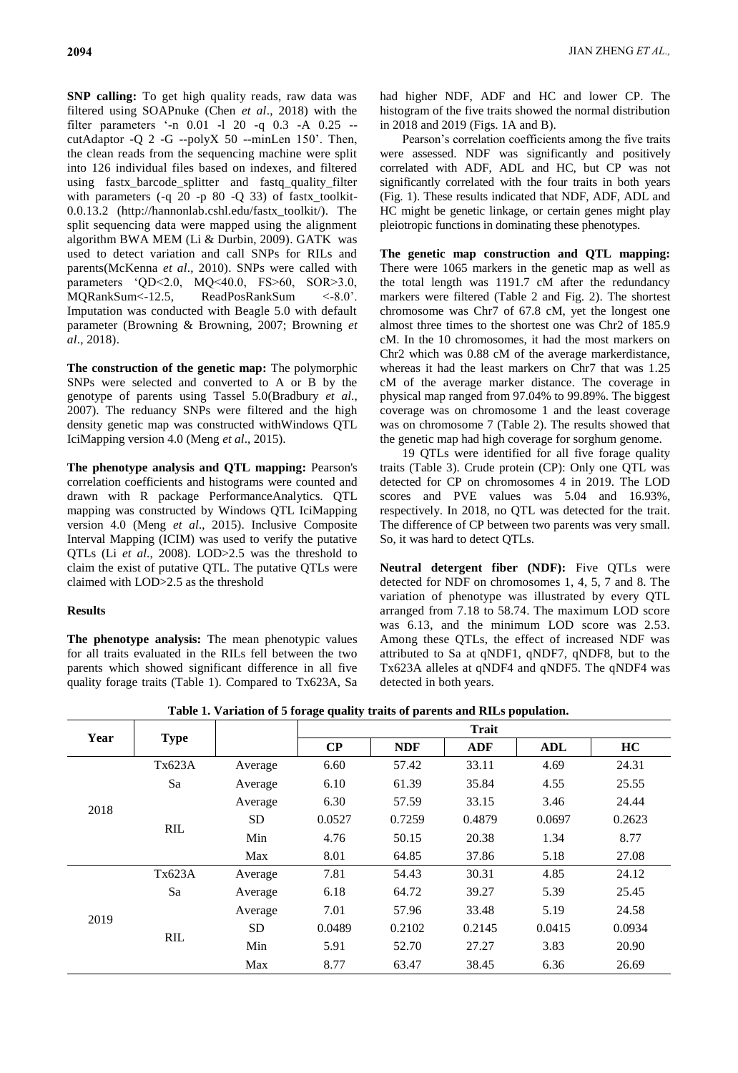**SNP calling:** To get high quality reads, raw data was filtered using SOAPnuke (Chen *et al*., 2018) with the filter parameters '-n 0.01 -l 20 -q 0.3 -A 0.25 - cutAdaptor -Q 2 -G --polyX 50 --minLen 150'. Then, the clean reads from the sequencing machine were split into 126 individual files based on indexes, and filtered using fastx barcode splitter and fastq quality filter with parameters  $(-q \t20 -p \t80 -Q \t33)$  of fastx toolkit-0.0.13.2 (http://hannonlab.cshl.edu/fastx\_toolkit/). The split sequencing data were mapped using the alignment algorithm BWA MEM (Li & Durbin, 2009). GATK was used to detect variation and call SNPs for RILs and parents(McKenna *et al*., 2010). SNPs were called with parameters 'QD<2.0, MQ<40.0, FS>60, SOR>3.0,

MQRankSum<-12.5, ReadPosRankSum <-8.0'. Imputation was conducted with Beagle 5.0 with default parameter (Browning & Browning, 2007; Browning *et al*., 2018).

**The construction of the genetic map:** The polymorphic SNPs were selected and converted to A or B by the genotype of parents using Tassel 5.0(Bradbury *et al*., 2007). The reduancy SNPs were filtered and the high density genetic map was constructed withWindows QTL IciMapping version 4.0 (Meng *et al*., 2015).

**The phenotype analysis and QTL mapping:** Pearson's correlation coefficients and histograms were counted and drawn with R package PerformanceAnalytics. QTL mapping was constructed by Windows QTL IciMapping version 4.0 (Meng *et al*., 2015). Inclusive Composite Interval Mapping (ICIM) was used to verify the putative QTLs (Li *et al*., 2008). LOD>2.5 was the threshold to claim the exist of putative QTL. The putative QTLs were claimed with LOD>2.5 as the threshold

## **Results**

**The phenotype analysis:** The mean phenotypic values for all traits evaluated in the RILs fell between the two parents which showed significant difference in all five quality forage traits (Table 1). Compared to Tx623A, Sa

had higher NDF, ADF and HC and lower CP. The histogram of the five traits showed the normal distribution in 2018 and 2019 (Figs. 1A and B).

Pearson's correlation coefficients among the five traits were assessed. NDF was significantly and positively correlated with ADF, ADL and HC, but CP was not significantly correlated with the four traits in both years (Fig. 1). These results indicated that NDF, ADF, ADL and HC might be genetic linkage, or certain genes might play pleiotropic functions in dominating these phenotypes.

**The genetic map construction and QTL mapping:**  There were 1065 markers in the genetic map as well as the total length was 1191.7 cM after the redundancy markers were filtered (Table 2 and Fig. 2). The shortest chromosome was Chr7 of 67.8 cM, yet the longest one almost three times to the shortest one was Chr2 of 185.9 cM. In the 10 chromosomes, it had the most markers on Chr2 which was 0.88 cM of the average markerdistance, whereas it had the least markers on Chr7 that was 1.25 cM of the average marker distance. The coverage in physical map ranged from 97.04% to 99.89%. The biggest coverage was on chromosome 1 and the least coverage was on chromosome 7 (Table 2). The results showed that the genetic map had high coverage for sorghum genome.

19 QTLs were identified for all five forage quality traits (Table 3). Crude protein (CP): Only one QTL was detected for CP on chromosomes 4 in 2019. The LOD scores and PVE values was 5.04 and 16.93%, respectively. In 2018, no QTL was detected for the trait. The difference of CP between two parents was very small. So, it was hard to detect QTLs.

**Neutral detergent fiber (NDF):** Five QTLs were detected for NDF on chromosomes 1, 4, 5, 7 and 8. The variation of phenotype was illustrated by every QTL arranged from 7.18 to 58.74. The maximum LOD score was 6.13, and the minimum LOD score was 2.53. Among these QTLs, the effect of increased NDF was attributed to Sa at qNDF1, qNDF7, qNDF8, but to the Tx623A alleles at qNDF4 and qNDF5. The qNDF4 was detected in both years.

| Year | <b>Type</b> |           | <b>Trait</b> |            |            |            |        |  |
|------|-------------|-----------|--------------|------------|------------|------------|--------|--|
|      |             |           | $\bf CP$     | <b>NDF</b> | <b>ADF</b> | <b>ADL</b> | HC     |  |
| 2018 | Tx623A      | Average   | 6.60         | 57.42      | 33.11      | 4.69       | 24.31  |  |
|      | Sa          | Average   | 6.10         | 61.39      | 35.84      | 4.55       | 25.55  |  |
|      |             | Average   | 6.30         | 57.59      | 33.15      | 3.46       | 24.44  |  |
|      | <b>RIL</b>  | <b>SD</b> | 0.0527       | 0.7259     | 0.4879     | 0.0697     | 0.2623 |  |
|      |             | Min       | 4.76         | 50.15      | 20.38      | 1.34       | 8.77   |  |
|      |             | Max       | 8.01         | 64.85      | 37.86      | 5.18       | 27.08  |  |
| 2019 | Tx623A      | Average   | 7.81         | 54.43      | 30.31      | 4.85       | 24.12  |  |
|      | Sa          | Average   | 6.18         | 64.72      | 39.27      | 5.39       | 25.45  |  |
|      |             | Average   | 7.01         | 57.96      | 33.48      | 5.19       | 24.58  |  |
|      | <b>RIL</b>  | <b>SD</b> | 0.0489       | 0.2102     | 0.2145     | 0.0415     | 0.0934 |  |
|      |             | Min       | 5.91         | 52.70      | 27.27      | 3.83       | 20.90  |  |
|      |             | Max       | 8.77         | 63.47      | 38.45      | 6.36       | 26.69  |  |

**Table 1. Variation of 5 forage quality traits of parents and RILs population.**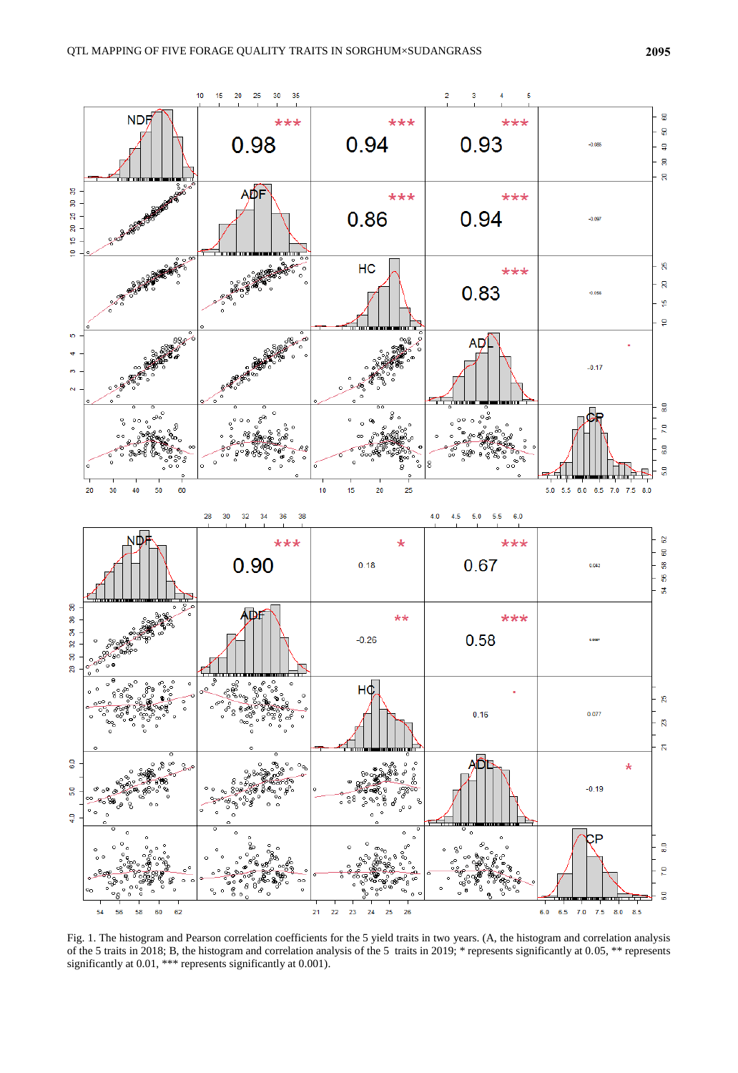

Fig. 1. The histogram and Pearson correlation coefficients for the 5 yield traits in two years. (A, the histogram and correlation analysis of the 5 traits in 2018; B, the histogram and correlation analysis of the 5 traits in 2019; \* represents significantly at 0.05, \*\* represents significantly at 0.01, \*\*\* represents significantly at 0.001).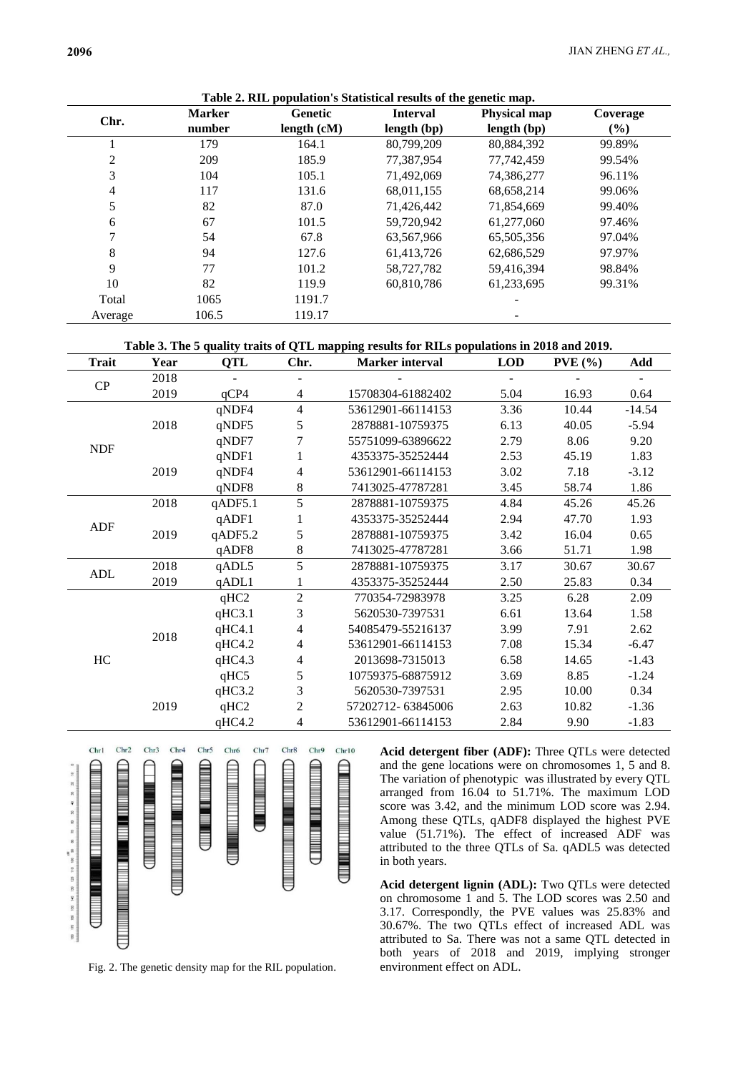|         | <b>Marker</b> | <b>Genetic</b> | <b>Interval</b> | <b>Physical map</b> | Coverage |
|---------|---------------|----------------|-----------------|---------------------|----------|
| Chr.    | number        | length $(cM)$  | length (bp)     | length (bp)         | $(\%)$   |
|         | 179           | 164.1          | 80,799,209      | 80,884,392          | 99.89%   |
| 2       | 209           | 185.9          | 77,387,954      | 77.742.459          | 99.54%   |
| 3       | 104           | 105.1          | 71,492,069      | 74,386,277          | 96.11%   |
| 4       | 117           | 131.6          | 68,011,155      | 68,658,214          | 99.06%   |
| 5       | 82            | 87.0           | 71,426,442      | 71,854,669          | 99.40%   |
| 6       | 67            | 101.5          | 59,720,942      | 61,277,060          | 97.46%   |
|         | 54            | 67.8           | 63,567,966      | 65,505,356          | 97.04%   |
| 8       | 94            | 127.6          | 61,413,726      | 62,686,529          | 97.97%   |
| 9       | 77            | 101.2          | 58,727,782      | 59,416,394          | 98.84%   |
| 10      | 82            | 119.9          | 60,810,786      | 61,233,695          | 99.31%   |
| Total   | 1065          | 1191.7         |                 |                     |          |
| Average | 106.5         | 119.17         |                 |                     |          |

**Table 2. RIL population's Statistical results of the genetic map.**

**Table 3. The 5 quality traits of QTL mapping results for RILs populations in 2018 and 2019.**

| Trait      | Year         | QTL     | Chr.           | <b>Marker interval</b> | <b>LOD</b> | PVE(%) | Add      |
|------------|--------------|---------|----------------|------------------------|------------|--------|----------|
| CP         | 2018         |         |                |                        |            |        |          |
|            | 2019         | qCP4    | $\overline{4}$ | 15708304-61882402      | 5.04       | 16.93  | 0.64     |
| <b>NDF</b> | 2018         | qNDF4   | $\overline{4}$ | 53612901-66114153      | 3.36       | 10.44  | $-14.54$ |
|            |              | qNDF5   | 5              | 2878881-10759375       | 6.13       | 40.05  | $-5.94$  |
|            |              | qNDF7   | $\overline{7}$ | 55751099-63896622      | 2.79       | 8.06   | 9.20     |
|            | 2019         | qNDF1   |                | 4353375-35252444       | 2.53       | 45.19  | 1.83     |
|            |              | qNDF4   | 4              | 53612901-66114153      | 3.02       | 7.18   | $-3.12$  |
|            |              | qNDF8   | 8              | 7413025-47787281       | 3.45       | 58.74  | 1.86     |
|            | 2018         | qADF5.1 | 5              | 2878881-10759375       | 4.84       | 45.26  | 45.26    |
| ADF        | 2019         | qADF1   |                | 4353375-35252444       | 2.94       | 47.70  | 1.93     |
|            |              | qADF5.2 | 5              | 2878881-10759375       | 3.42       | 16.04  | 0.65     |
|            |              | qADF8   | 8              | 7413025-47787281       | 3.66       | 51.71  | 1.98     |
| ADL        | 2018         | qADL5   | 5              | 2878881-10759375       | 3.17       | 30.67  | 30.67    |
|            | 2019         | qADL1   | 1              | 4353375-35252444       | 2.50       | 25.83  | 0.34     |
|            | 2018<br>2019 | qHC2    | $\overline{2}$ | 770354-72983978        | 3.25       | 6.28   | 2.09     |
|            |              | qHC3.1  | 3              | 5620530-7397531        | 6.61       | 13.64  | 1.58     |
| HC         |              | qHC4.1  | 4              | 54085479-55216137      | 3.99       | 7.91   | 2.62     |
|            |              | qHC4.2  | 4              | 53612901-66114153      | 7.08       | 15.34  | $-6.47$  |
|            |              | qHC4.3  | 4              | 2013698-7315013        | 6.58       | 14.65  | $-1.43$  |
|            |              | qHC5    | 5              | 10759375-68875912      | 3.69       | 8.85   | $-1.24$  |
|            |              | qHC3.2  | 3              | 5620530-7397531        | 2.95       | 10.00  | 0.34     |
|            |              | qHC2    | $\overline{2}$ | 57202712-63845006      | 2.63       | 10.82  | $-1.36$  |
|            |              | qHC4.2  | 4              | 53612901-66114153      | 2.84       | 9.90   | $-1.83$  |



Fig. 2. The genetic density map for the RIL population.

**Acid detergent fiber (ADF):** Three QTLs were detected and the gene locations were on chromosomes 1, 5 and 8. The variation of phenotypic was illustrated by every QTL arranged from 16.04 to 51.71%. The maximum LOD score was 3.42, and the minimum LOD score was 2.94. Among these QTLs, qADF8 displayed the highest PVE value (51.71%). The effect of increased ADF was attributed to the three QTLs of Sa. qADL5 was detected in both years.

**Acid detergent lignin (ADL):** Two QTLs were detected on chromosome 1 and 5. The LOD scores was 2.50 and 3.17. Correspondly, the PVE values was 25.83% and 30.67%. The two QTLs effect of increased ADL was attributed to Sa. There was not a same QTL detected in both years of 2018 and 2019, implying stronger environment effect on ADL.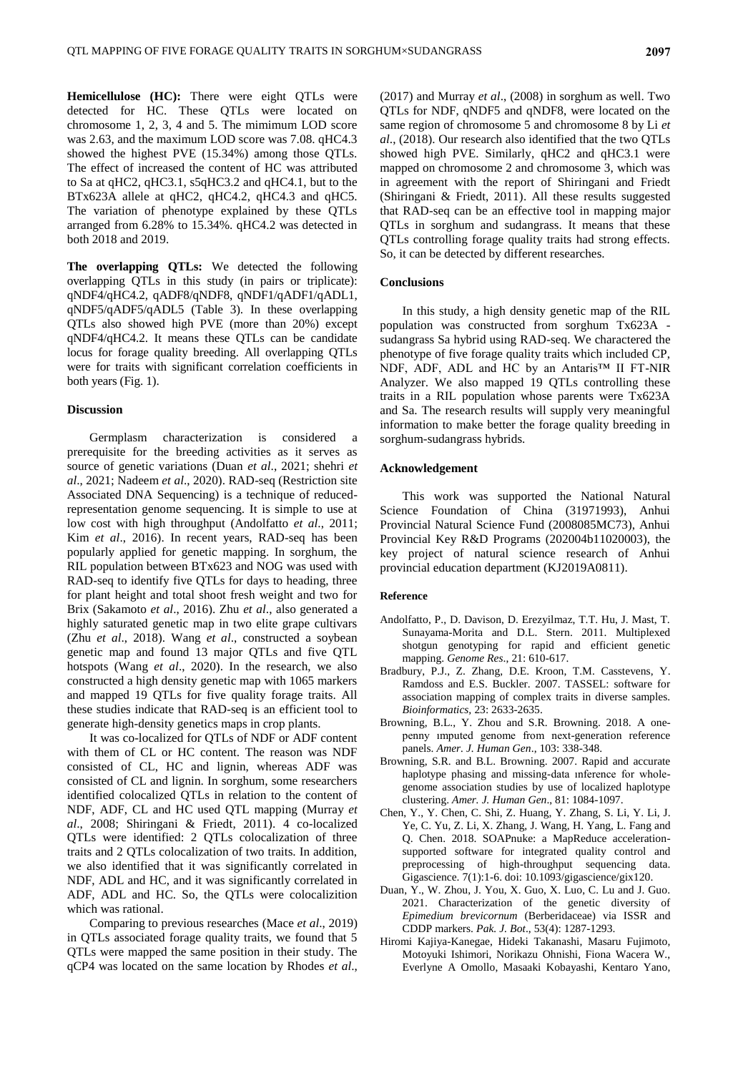**Hemicellulose (HC):** There were eight QTLs were detected for HC. These QTLs were located on chromosome 1, 2, 3, 4 and 5. The mimimum LOD score was 2.63, and the maximum LOD score was 7.08. qHC4.3 showed the highest PVE (15.34%) among those QTLs. The effect of increased the content of HC was attributed to Sa at qHC2, qHC3.1, s5qHC3.2 and qHC4.1, but to the BTx623A allele at qHC2, qHC4.2, qHC4.3 and qHC5. The variation of phenotype explained by these QTLs arranged from 6.28% to 15.34%. qHC4.2 was detected in both 2018 and 2019.

**The overlapping QTLs:** We detected the following overlapping QTLs in this study (in pairs or triplicate): qNDF4/qHC4.2, qADF8/qNDF8, qNDF1/qADF1/qADL1, qNDF5/qADF5/qADL5 (Table 3). In these overlapping QTLs also showed high PVE (more than 20%) except qNDF4/qHC4.2. It means these QTLs can be candidate locus for forage quality breeding. All overlapping QTLs were for traits with significant correlation coefficients in both years (Fig. 1).

## **Discussion**

Germplasm characterization is considered a prerequisite for the breeding activities as it serves as source of genetic variations (Duan *et al*., 2021; shehri *et al*., 2021; Nadeem *et al*., 2020). RAD-seq (Restriction site Associated DNA Sequencing) is a technique of reducedrepresentation genome sequencing. It is simple to use at low cost with high throughput (Andolfatto *et al*., 2011; Kim *et al*., 2016). In recent years, RAD-seq has been popularly applied for genetic mapping. In sorghum, the RIL population between BTx623 and NOG was used with RAD-seq to identify five QTLs for days to heading, three for plant height and total shoot fresh weight and two for Brix (Sakamoto *et al*., 2016). Zhu *et al*., also generated a highly saturated genetic map in two elite grape cultivars (Zhu *et al*., 2018). Wang *et al*., constructed a soybean genetic map and found 13 major QTLs and five QTL hotspots (Wang *et al*., 2020). In the research, we also constructed a high density genetic map with 1065 markers and mapped 19 QTLs for five quality forage traits. All these studies indicate that RAD-seq is an efficient tool to generate high-density genetics maps in crop plants.

It was co-localized for QTLs of NDF or ADF content with them of CL or HC content. The reason was NDF consisted of CL, HC and lignin, whereas ADF was consisted of CL and lignin. In sorghum, some researchers identified colocalized QTLs in relation to the content of NDF, ADF, CL and HC used QTL mapping (Murray *et al*., 2008; Shiringani & Friedt, 2011). 4 co-localized QTLs were identified: 2 QTLs colocalization of three traits and 2 QTLs colocalization of two traits. In addition, we also identified that it was significantly correlated in NDF, ADL and HC, and it was significantly correlated in ADF, ADL and HC. So, the QTLs were colocalizition which was rational.

Comparing to previous researches (Mace *et al*., 2019) in QTLs associated forage quality traits, we found that 5 QTLs were mapped the same position in their study. The qCP4 was located on the same location by Rhodes *et al*.,

(2017) and Murray *et al*., (2008) in sorghum as well. Two QTLs for NDF, qNDF5 and qNDF8, were located on the same region of chromosome 5 and chromosome 8 by Li *et al*., (2018). Our research also identified that the two QTLs showed high PVE. Similarly, qHC2 and qHC3.1 were mapped on chromosome 2 and chromosome 3, which was in agreement with the report of Shiringani and Friedt (Shiringani & Friedt, 2011). All these results suggested that RAD-seq can be an effective tool in mapping major QTLs in sorghum and sudangrass. It means that these QTLs controlling forage quality traits had strong effects. So, it can be detected by different researches.

## **Conclusions**

In this study, a high density genetic map of the RIL population was constructed from sorghum Tx623A sudangrass Sa hybrid using RAD-seq. We charactered the phenotype of five forage quality traits which included CP, NDF, ADF, ADL and HC by an Antaris™ II FT-NIR Analyzer. We also mapped 19 QTLs controlling these traits in a RIL population whose parents were Tx623A and Sa. The research results will supply very meaningful information to make better the forage quality breeding in sorghum-sudangrass hybrids.

## **Acknowledgement**

This work was supported the National Natural Science Foundation of China (31971993), Anhui Provincial Natural Science Fund (2008085MC73), Anhui Provincial Key R&D Programs (202004b11020003), the key project of natural science research of Anhui provincial education department (KJ2019A0811).

#### **Reference**

- Andolfatto, P., D. Davison, D. Erezyilmaz, T.T. Hu, J. Mast, T. Sunayama-Morita and D.L. Stern. 2011. Multiplexed shotgun genotyping for rapid and efficient genetic mapping. *Genome Res*., 21: 610-617.
- Bradbury, P.J., Z. Zhang, D.E. Kroon, T.M. Casstevens, Y. Ramdoss and E.S. Buckler. 2007. TASSEL: software for association mapping of complex traits in diverse samples. *Bioinformatics,* 23: 2633-2635.
- Browning, B.L., Y. Zhou and S.R. Browning. 2018. A onepenny ımputed genome from next-generation reference panels. *Amer. J. Human Gen*., 103: 338-348.
- Browning, S.R. and B.L. Browning. 2007. Rapid and accurate haplotype phasing and missing-data ınference for wholegenome association studies by use of localized haplotype clustering. *Amer. J. Human Gen*., 81: 1084-1097.
- Chen, Y., Y. Chen, C. Shi, Z. Huang, Y. Zhang, S. Li, Y. Li, J. Ye, C. Yu, Z. Li, X. Zhang, J. Wang, H. Yang, L. Fang and Q. Chen. 2018. SOAPnuke: a MapReduce accelerationsupported software for integrated quality control and preprocessing of high-throughput sequencing data. Gigascience. 7(1):1-6. doi: 10.1093/gigascience/gix120.
- Duan, Y., W. Zhou, J. You, X. Guo, X. Luo, C. Lu and J. Guo. 2021. Characterization of the genetic diversity of *Epimedium brevicornum* (Berberidaceae) via ISSR and CDDP markers. *Pak. J. Bot*., 53(4): 1287-1293.
- Hiromi Kajiya-Kanegae, Hideki Takanashi, Masaru Fujimoto, Motoyuki Ishimori, Norikazu Ohnishi, Fiona Wacera W., Everlyne A Omollo, Masaaki Kobayashi, Kentaro Yano,